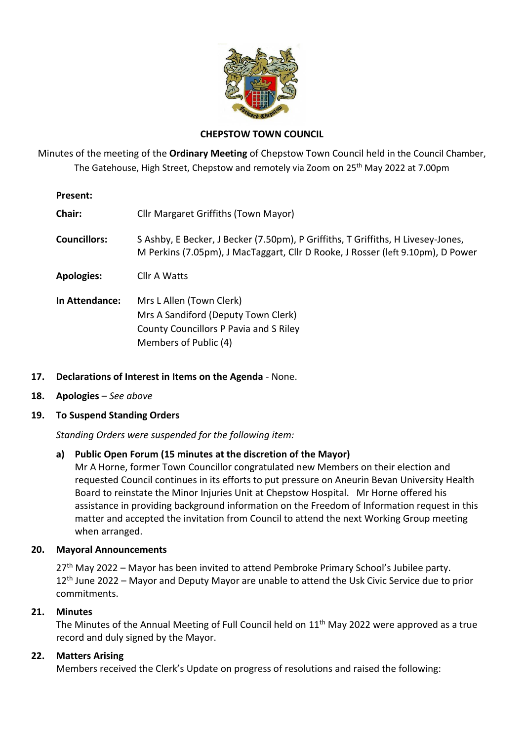

# **CHEPSTOW TOWN COUNCIL**

Minutes of the meeting of the **Ordinary Meeting** of Chepstow Town Council held in the Council Chamber, The Gatehouse, High Street, Chepstow and remotely via Zoom on 25<sup>th</sup> May 2022 at 7.00pm

| Present:          |                                                                                                                                                                     |
|-------------------|---------------------------------------------------------------------------------------------------------------------------------------------------------------------|
| Chair:            | <b>Cllr Margaret Griffiths (Town Mayor)</b>                                                                                                                         |
| Councillors:      | S Ashby, E Becker, J Becker (7.50pm), P Griffiths, T Griffiths, H Livesey-Jones,<br>M Perkins (7.05pm), J MacTaggart, Cllr D Rooke, J Rosser (left 9.10pm), D Power |
| <b>Apologies:</b> | Cllr A Watts                                                                                                                                                        |
| In Attendance:    | Mrs L Allen (Town Clerk)<br>Mrs A Sandiford (Deputy Town Clerk)<br>County Councillors P Pavia and S Riley<br>Members of Public (4)                                  |

# **17. Declarations of Interest in Items on the Agenda** - None.

**18. Apologies** – *See above*

# **19. To Suspend Standing Orders**

*Standing Orders were suspended for the following item:*

# **a) Public Open Forum (15 minutes at the discretion of the Mayor)**

Mr A Horne, former Town Councillor congratulated new Members on their election and requested Council continues in its efforts to put pressure on Aneurin Bevan University Health Board to reinstate the Minor Injuries Unit at Chepstow Hospital. Mr Horne offered his assistance in providing background information on the Freedom of Information request in this matter and accepted the invitation from Council to attend the next Working Group meeting when arranged.

#### **20. Mayoral Announcements**

27<sup>th</sup> May 2022 – Mayor has been invited to attend Pembroke Primary School's Jubilee party. 12<sup>th</sup> June 2022 – Mayor and Deputy Mayor are unable to attend the Usk Civic Service due to prior commitments.

### **21. Minutes**

The Minutes of the Annual Meeting of Full Council held on 11<sup>th</sup> May 2022 were approved as a true record and duly signed by the Mayor.

# **22. Matters Arising**

Members received the Clerk's Update on progress of resolutions and raised the following: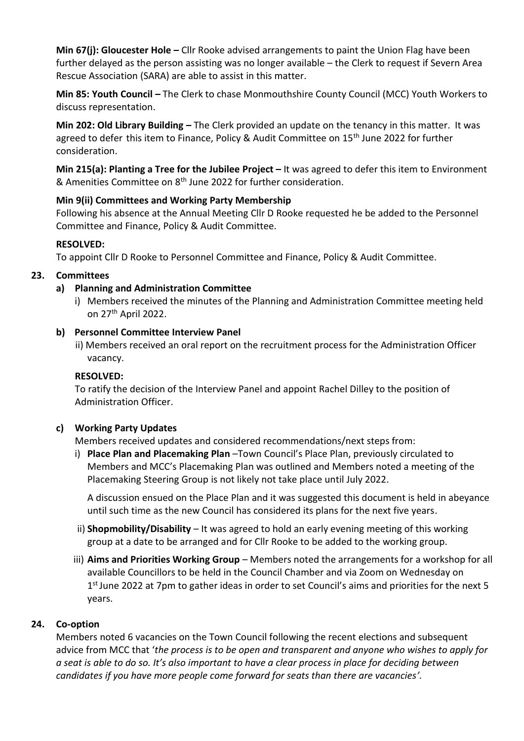**Min 67(j): Gloucester Hole –** Cllr Rooke advised arrangements to paint the Union Flag have been further delayed as the person assisting was no longer available – the Clerk to request if Severn Area Rescue Association (SARA) are able to assist in this matter.

**Min 85: Youth Council -** The Clerk to chase Monmouthshire County Council (MCC) Youth Workers to discuss representation.

**Min 202: Old Library Building –** The Clerk provided an update on the tenancy in this matter. It was agreed to defer this item to Finance, Policy & Audit Committee on 15<sup>th</sup> June 2022 for further consideration.

**Min 215(a): Planting a Tree for the Jubilee Project – It was agreed to defer this item to Environment** & Amenities Committee on 8<sup>th</sup> June 2022 for further consideration.

# **Min 9(ii) Committees and Working Party Membership**

Following his absence at the Annual Meeting Cllr D Rooke requested he be added to the Personnel Committee and Finance, Policy & Audit Committee.

# **RESOLVED:**

To appoint Cllr D Rooke to Personnel Committee and Finance, Policy & Audit Committee.

# **23. Committees**

- **a) Planning and Administration Committee**
	- i) Members received the minutes of the Planning and Administration Committee meeting held on 27th April 2022.

# **b) Personnel Committee Interview Panel**

ii) Members received an oral report on the recruitment process for the Administration Officer vacancy.

# **RESOLVED:**

To ratify the decision of the Interview Panel and appoint Rachel Dilley to the position of Administration Officer.

# **c) Working Party Updates**

Members received updates and considered recommendations/next steps from:

i) **Place Plan and Placemaking Plan** –Town Council's Place Plan, previously circulated to Members and MCC's Placemaking Plan was outlined and Members noted a meeting of the Placemaking Steering Group is not likely not take place until July 2022.

A discussion ensued on the Place Plan and it was suggested this document is held in abeyance until such time as the new Council has considered its plans for the next five years.

- ii) **Shopmobility/Disability** It was agreed to hold an early evening meeting of this working group at a date to be arranged and for Cllr Rooke to be added to the working group.
- iii) **Aims and Priorities Working Group** Members noted the arrangements for a workshop for all available Councillors to be held in the Council Chamber and via Zoom on Wednesday on 1<sup>st</sup> June 2022 at 7pm to gather ideas in order to set Council's aims and priorities for the next 5 years.

# **24. Co-option**

Members noted 6 vacancies on the Town Council following the recent elections and subsequent advice from MCC that '*the process is to be open and transparent and anyone who wishes to apply for a seat is able to do so. It's also important to have a clear process in place for deciding between candidates if you have more people come forward for seats than there are vacancies'.*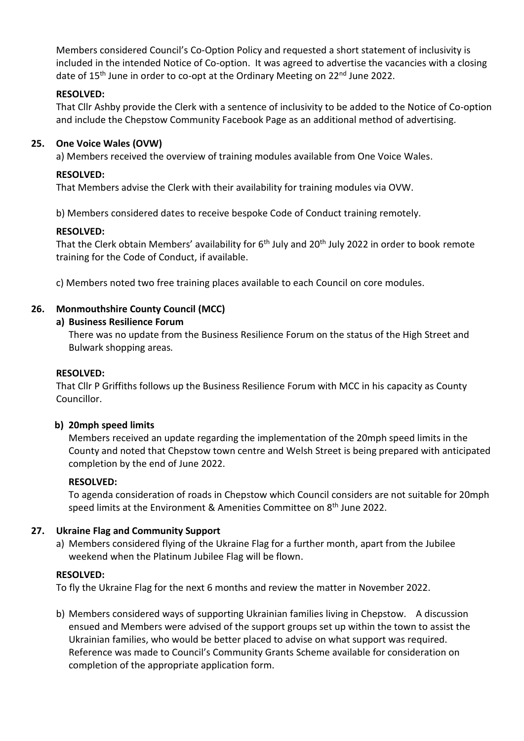Members considered Council's Co-Option Policy and requested a short statement of inclusivity is included in the intended Notice of Co-option. It was agreed to advertise the vacancies with a closing date of  $15<sup>th</sup>$  June in order to co-opt at the Ordinary Meeting on  $22<sup>nd</sup>$  June 2022.

### **RESOLVED:**

That Cllr Ashby provide the Clerk with a sentence of inclusivity to be added to the Notice of Co-option and include the Chepstow Community Facebook Page as an additional method of advertising.

### **25. One Voice Wales (OVW)**

a) Members received the overview of training modules available from One Voice Wales.

### **RESOLVED:**

That Members advise the Clerk with their availability for training modules via OVW.

b) Members considered dates to receive bespoke Code of Conduct training remotely.

### **RESOLVED:**

That the Clerk obtain Members' availability for 6<sup>th</sup> July and 20<sup>th</sup> July 2022 in order to book remote training for the Code of Conduct, if available.

c) Members noted two free training places available to each Council on core modules.

### **26. Monmouthshire County Council (MCC)**

#### **a) Business Resilience Forum**

There was no update from the Business Resilience Forum on the status of the High Street and Bulwark shopping areas*.*

#### **RESOLVED:**

That Cllr P Griffiths follows up the Business Resilience Forum with MCC in his capacity as County Councillor.

#### **b) 20mph speed limits**

Members received an update regarding the implementation of the 20mph speed limits in the County and noted that Chepstow town centre and Welsh Street is being prepared with anticipated completion by the end of June 2022.

#### **RESOLVED:**

To agenda consideration of roads in Chepstow which Council considers are not suitable for 20mph speed limits at the Environment & Amenities Committee on 8<sup>th</sup> June 2022.

#### **27. Ukraine Flag and Community Support**

a) Members considered flying of the Ukraine Flag for a further month, apart from the Jubilee weekend when the Platinum Jubilee Flag will be flown.

#### **RESOLVED:**

To fly the Ukraine Flag for the next 6 months and review the matter in November 2022.

b) Members considered ways of supporting Ukrainian families living in Chepstow. A discussion ensued and Members were advised of the support groups set up within the town to assist the Ukrainian families, who would be better placed to advise on what support was required. Reference was made to Council's Community Grants Scheme available for consideration on completion of the appropriate application form.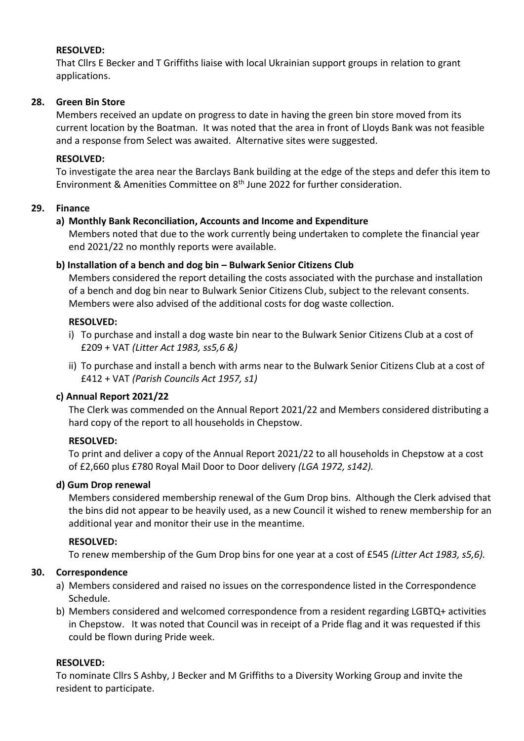### **RESOLVED:**

That Cllrs E Becker and T Griffiths liaise with local Ukrainian support groups in relation to grant applications.

### **28. Green Bin Store**

Members received an update on progress to date in having the green bin store moved from its current location by the Boatman*.* It was noted that the area in front of Lloyds Bank was not feasible and a response from Select was awaited. Alternative sites were suggested.

### **RESOLVED:**

To investigate the area near the Barclays Bank building at the edge of the steps and defer this item to Environment & Amenities Committee on 8th June 2022 for further consideration.

### **29. Finance**

### **a) Monthly Bank Reconciliation, Accounts and Income and Expenditure**

Members noted that due to the work currently being undertaken to complete the financial year end 2021/22 no monthly reports were available.

### **b) Installation of a bench and dog bin – Bulwark Senior Citizens Club**

Members considered the report detailing the costs associated with the purchase and installation of a bench and dog bin near to Bulwark Senior Citizens Club, subject to the relevant consents. Members were also advised of the additional costs for dog waste collection.

### **RESOLVED:**

- i) To purchase and install a dog waste bin near to the Bulwark Senior Citizens Club at a cost of £209 + VAT *(Litter Act 1983, ss5,6 &)*
- ii) To purchase and install a bench with arms near to the Bulwark Senior Citizens Club at a cost of £412 + VAT *(Parish Councils Act 1957, s1)*

#### **c) Annual Report 2021/22**

The Clerk was commended on the Annual Report 2021/22 and Members considered distributing a hard copy of the report to all households in Chepstow.

#### **RESOLVED:**

To print and deliver a copy of the Annual Report 2021/22 to all households in Chepstow at a cost of £2,660 plus £780 Royal Mail Door to Door delivery *(LGA 1972, s142).*

#### **d) Gum Drop renewal**

Members considered membership renewal of the Gum Drop bins. Although the Clerk advised that the bins did not appear to be heavily used, as a new Council it wished to renew membership for an additional year and monitor their use in the meantime.

#### **RESOLVED:**

To renew membership of the Gum Drop bins for one year at a cost of £545 *(Litter Act 1983, s5,6).*

#### **30. Correspondence**

- a) Members considered and raised no issues on the correspondence listed in the Correspondence Schedule.
- b) Members considered and welcomed correspondence from a resident regarding LGBTQ+ activities in Chepstow. It was noted that Council was in receipt of a Pride flag and it was requested if this could be flown during Pride week.

#### **RESOLVED:**

To nominate Cllrs S Ashby, J Becker and M Griffiths to a Diversity Working Group and invite the resident to participate.